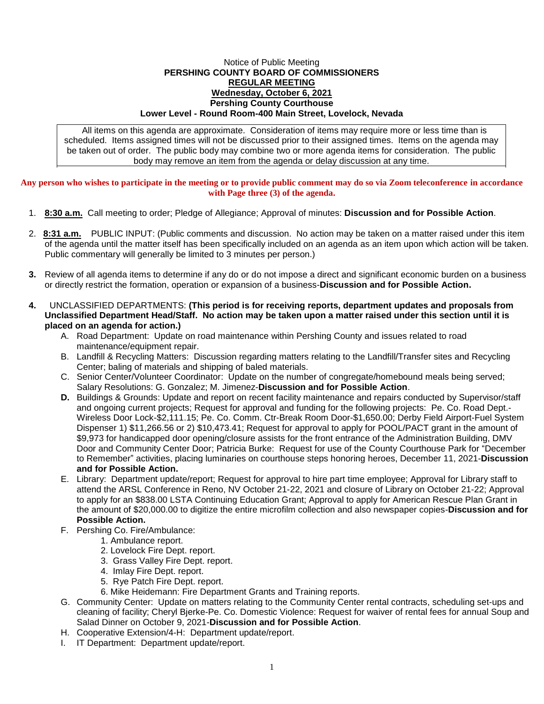## Notice of Public Meeting **PERSHING COUNTY BOARD OF COMMISSIONERS REGULAR MEETING Wednesday, October 6, 2021 Pershing County Courthouse Lower Level - Round Room-400 Main Street, Lovelock, Nevada**

All items on this agenda are approximate. Consideration of items may require more or less time than is scheduled. Items assigned times will not be discussed prior to their assigned times. Items on the agenda may be taken out of order. The public body may combine two or more agenda items for consideration. The public body may remove an item from the agenda or delay discussion at any time.

## **Any person who wishes to participate in the meeting or to provide public comment may do so via Zoom teleconference in accordance with Page three (3) of the agenda.**

- 1. **8:30 a.m.** Call meeting to order; Pledge of Allegiance; Approval of minutes: **Discussion and for Possible Action**.
- 2. **8:31 a.m.** PUBLIC INPUT: (Public comments and discussion. No action may be taken on a matter raised under this item of the agenda until the matter itself has been specifically included on an agenda as an item upon which action will be taken. Public commentary will generally be limited to 3 minutes per person.)
- **3.** Review of all agenda items to determine if any do or do not impose a direct and significant economic burden on a business or directly restrict the formation, operation or expansion of a business-**Discussion and for Possible Action.**
- **4.** UNCLASSIFIED DEPARTMENTS: **(This period is for receiving reports, department updates and proposals from Unclassified Department Head/Staff. No action may be taken upon a matter raised under this section until it is placed on an agenda for action.)**
	- A. Road Department: Update on road maintenance within Pershing County and issues related to road maintenance/equipment repair.
	- B. Landfill & Recycling Matters: Discussion regarding matters relating to the Landfill/Transfer sites and Recycling Center; baling of materials and shipping of baled materials.
	- C. Senior Center/Volunteer Coordinator: Update on the number of congregate/homebound meals being served; Salary Resolutions: G. Gonzalez; M. Jimenez-**Discussion and for Possible Action**.
	- **D.** Buildings & Grounds: Update and report on recent facility maintenance and repairs conducted by Supervisor/staff and ongoing current projects; Request for approval and funding for the following projects: Pe. Co. Road Dept.- Wireless Door Lock-\$2,111.15; Pe. Co. Comm. Ctr-Break Room Door-\$1,650.00; Derby Field Airport-Fuel System Dispenser 1) \$11,266.56 or 2) \$10,473.41; Request for approval to apply for POOL/PACT grant in the amount of \$9,973 for handicapped door opening/closure assists for the front entrance of the Administration Building, DMV Door and Community Center Door; Patricia Burke: Request for use of the County Courthouse Park for "December to Remember" activities, placing luminaries on courthouse steps honoring heroes, December 11, 2021-**Discussion and for Possible Action.**
	- E. Library: Department update/report; Request for approval to hire part time employee; Approval for Library staff to attend the ARSL Conference in Reno, NV October 21-22, 2021 and closure of Library on October 21-22; Approval to apply for an \$838.00 LSTA Continuing Education Grant; Approval to apply for American Rescue Plan Grant in the amount of \$20,000.00 to digitize the entire microfilm collection and also newspaper copies-**Discussion and for Possible Action.**
	- F. Pershing Co. Fire/Ambulance:
		- 1. Ambulance report.
		- 2. Lovelock Fire Dept. report.
		- 3. Grass Valley Fire Dept. report.
		- 4. Imlay Fire Dept. report.
		- 5. Rye Patch Fire Dept. report.
		- 6. Mike Heidemann: Fire Department Grants and Training reports.
	- G. Community Center: Update on matters relating to the Community Center rental contracts, scheduling set-ups and cleaning of facility; Cheryl Bjerke-Pe. Co. Domestic Violence: Request for waiver of rental fees for annual Soup and Salad Dinner on October 9, 2021-**Discussion and for Possible Action**.
	- H. Cooperative Extension/4-H: Department update/report.
	- I. IT Department: Department update/report.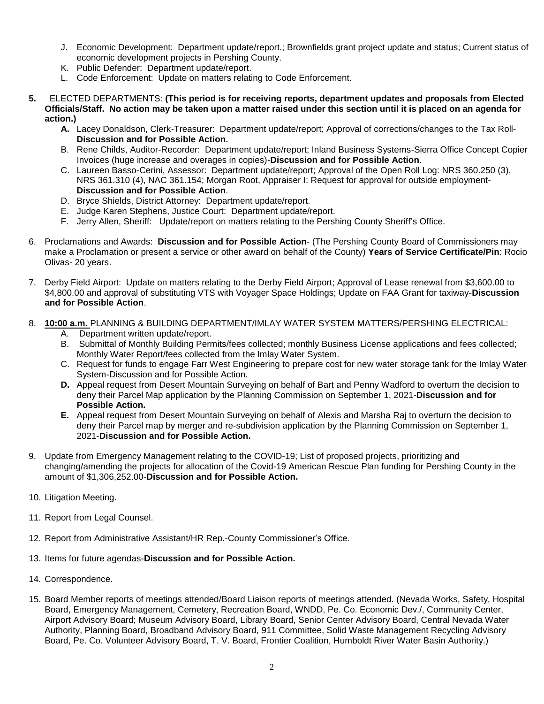- J. Economic Development: Department update/report.; Brownfields grant project update and status; Current status of economic development projects in Pershing County.
- K. Public Defender: Department update/report.
- L. Code Enforcement: Update on matters relating to Code Enforcement.
- **5.** ELECTED DEPARTMENTS: **(This period is for receiving reports, department updates and proposals from Elected Officials/Staff. No action may be taken upon a matter raised under this section until it is placed on an agenda for action.)**
	- **A.** Lacey Donaldson, Clerk-Treasurer: Department update/report; Approval of corrections/changes to the Tax Roll-**Discussion and for Possible Action.**
	- B. Rene Childs, Auditor-Recorder: Department update/report; Inland Business Systems-Sierra Office Concept Copier Invoices (huge increase and overages in copies)-**Discussion and for Possible Action**.
	- C. Laureen Basso-Cerini, Assessor: Department update/report; Approval of the Open Roll Log: NRS 360.250 (3), NRS 361.310 (4), NAC 361.154; Morgan Root, Appraiser I: Request for approval for outside employment-**Discussion and for Possible Action**.
	- D. Bryce Shields, District Attorney: Department update/report.
	- E. Judge Karen Stephens, Justice Court: Department update/report.
	- F. Jerry Allen, Sheriff: Update/report on matters relating to the Pershing County Sheriff's Office.
- 6. Proclamations and Awards: **Discussion and for Possible Action** (The Pershing County Board of Commissioners may make a Proclamation or present a service or other award on behalf of the County) **Years of Service Certificate/Pin**: Rocio Olivas- 20 years.
- 7. Derby Field Airport: Update on matters relating to the Derby Field Airport; Approval of Lease renewal from \$3,600.00 to \$4,800.00 and approval of substituting VTS with Voyager Space Holdings; Update on FAA Grant for taxiway-**Discussion and for Possible Action**.
- 8. **10:00 a.m.** PLANNING & BUILDING DEPARTMENT/IMLAY WATER SYSTEM MATTERS/PERSHING ELECTRICAL:
	- A. Department written update/report.
	- B. Submittal of Monthly Building Permits/fees collected; monthly Business License applications and fees collected; Monthly Water Report/fees collected from the Imlay Water System.
	- C. Request for funds to engage Farr West Engineering to prepare cost for new water storage tank for the Imlay Water System-Discussion and for Possible Action.
	- **D.** Appeal request from Desert Mountain Surveying on behalf of Bart and Penny Wadford to overturn the decision to deny their Parcel Map application by the Planning Commission on September 1, 2021-**Discussion and for Possible Action.**
	- **E.** Appeal request from Desert Mountain Surveying on behalf of Alexis and Marsha Raj to overturn the decision to deny their Parcel map by merger and re-subdivision application by the Planning Commission on September 1, 2021-**Discussion and for Possible Action.**
- 9. Update from Emergency Management relating to the COVID-19; List of proposed projects, prioritizing and changing/amending the projects for allocation of the Covid-19 American Rescue Plan funding for Pershing County in the amount of \$1,306,252.00-**Discussion and for Possible Action.**
- 10. Litigation Meeting.
- 11. Report from Legal Counsel.
- 12. Report from Administrative Assistant/HR Rep.-County Commissioner's Office.
- 13. Items for future agendas-**Discussion and for Possible Action.**
- 14. Correspondence.
- 15. Board Member reports of meetings attended/Board Liaison reports of meetings attended. (Nevada Works, Safety, Hospital Board, Emergency Management, Cemetery, Recreation Board, WNDD, Pe. Co. Economic Dev./, Community Center, Airport Advisory Board; Museum Advisory Board, Library Board, Senior Center Advisory Board, Central Nevada Water Authority, Planning Board, Broadband Advisory Board, 911 Committee, Solid Waste Management Recycling Advisory Board, Pe. Co. Volunteer Advisory Board, T. V. Board, Frontier Coalition, Humboldt River Water Basin Authority.)